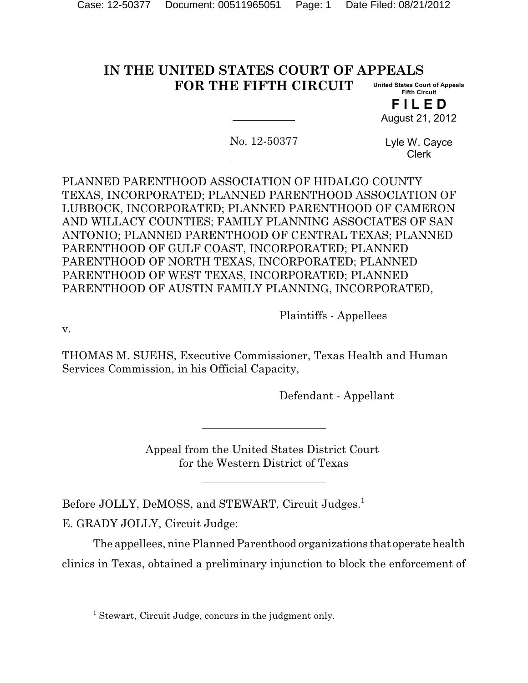#### **IN THE UNITED STATES COURT OF APPEALS FOR THE FIFTH CIRCUIT United States Court of Appeals Fifth Circuit**

**F I L E D** August 21, 2012

No. 12-50377

Lyle W. Cayce Clerk

PLANNED PARENTHOOD ASSOCIATION OF HIDALGO COUNTY TEXAS, INCORPORATED; PLANNED PARENTHOOD ASSOCIATION OF LUBBOCK, INCORPORATED; PLANNED PARENTHOOD OF CAMERON AND WILLACY COUNTIES; FAMILY PLANNING ASSOCIATES OF SAN ANTONIO; PLANNED PARENTHOOD OF CENTRAL TEXAS; PLANNED PARENTHOOD OF GULF COAST, INCORPORATED; PLANNED PARENTHOOD OF NORTH TEXAS, INCORPORATED; PLANNED PARENTHOOD OF WEST TEXAS, INCORPORATED; PLANNED PARENTHOOD OF AUSTIN FAMILY PLANNING, INCORPORATED,

Plaintiffs - Appellees

v.

THOMAS M. SUEHS, Executive Commissioner, Texas Health and Human Services Commission, in his Official Capacity,

Defendant - Appellant

Appeal from the United States District Court for the Western District of Texas

Before JOLLY, DeMOSS, and STEWART, Circuit Judges.<sup>1</sup>

E. GRADY JOLLY, Circuit Judge:

The appellees, nine Planned Parenthood organizations that operate health clinics in Texas, obtained a preliminary injunction to block the enforcement of

 $<sup>1</sup>$  Stewart, Circuit Judge, concurs in the judgment only.</sup>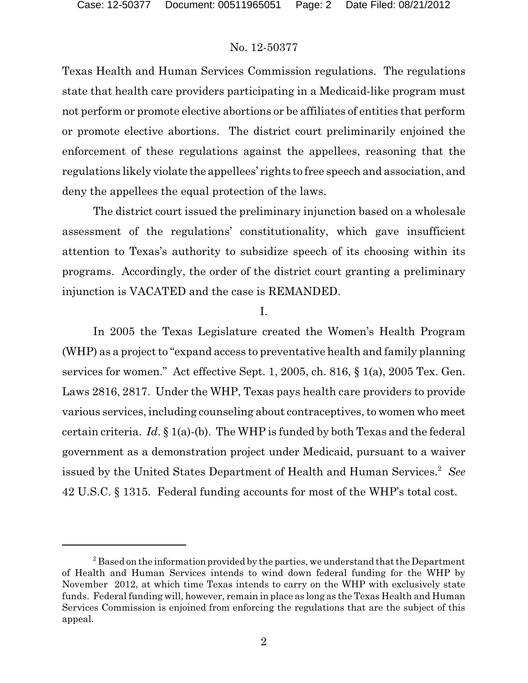Texas Health and Human Services Commission regulations. The regulations state that health care providers participating in a Medicaid-like program must not perform or promote elective abortions or be affiliates of entities that perform or promote elective abortions. The district court preliminarily enjoined the enforcement of these regulations against the appellees, reasoning that the regulations likely violate the appellees' rights to free speech and association, and deny the appellees the equal protection of the laws.

The district court issued the preliminary injunction based on a wholesale assessment of the regulations' constitutionality, which gave insufficient attention to Texas's authority to subsidize speech of its choosing within its programs. Accordingly, the order of the district court granting a preliminary injunction is VACATED and the case is REMANDED.

### I.

In 2005 the Texas Legislature created the Women's Health Program (WHP) as a project to "expand access to preventative health and family planning services for women." Act effective Sept. 1, 2005, ch. 816, § 1(a), 2005 Tex. Gen. Laws 2816, 2817. Under the WHP, Texas pays health care providers to provide various services, including counseling about contraceptives, to women who meet certain criteria. *Id*. § 1(a)-(b). The WHP is funded by both Texas and the federal government as a demonstration project under Medicaid, pursuant to a waiver issued by the United States Department of Health and Human Services.<sup>2</sup> See 42 U.S.C. § 1315. Federal funding accounts for most of the WHP's total cost.

 $3<sup>2</sup>$  Based on the information provided by the parties, we understand that the Department of Health and Human Services intends to wind down federal funding for the WHP by November 2012, at which time Texas intends to carry on the WHP with exclusively state funds. Federal funding will, however, remain in place as long as the Texas Health and Human Services Commission is enjoined from enforcing the regulations that are the subject of this appeal.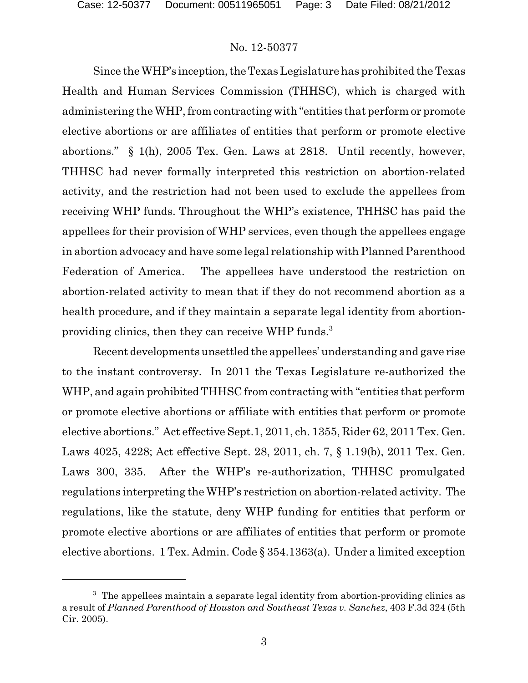Since the WHP's inception, the Texas Legislature has prohibited the Texas Health and Human Services Commission (THHSC), which is charged with administering the WHP, from contracting with "entities that perform or promote elective abortions or are affiliates of entities that perform or promote elective abortions." § 1(h), 2005 Tex. Gen. Laws at 2818. Until recently, however, THHSC had never formally interpreted this restriction on abortion-related activity, and the restriction had not been used to exclude the appellees from receiving WHP funds. Throughout the WHP's existence, THHSC has paid the appellees for their provision of WHP services, even though the appellees engage in abortion advocacy and have some legal relationship with Planned Parenthood Federation of America. The appellees have understood the restriction on abortion-related activity to mean that if they do not recommend abortion as a health procedure, and if they maintain a separate legal identity from abortionproviding clinics, then they can receive WHP funds.<sup>3</sup>

Recent developments unsettled the appellees' understanding and gave rise to the instant controversy. In 2011 the Texas Legislature re-authorized the WHP, and again prohibited THHSC from contracting with "entities that perform" or promote elective abortions or affiliate with entities that perform or promote elective abortions." Act effective Sept.1, 2011, ch. 1355, Rider 62, 2011 Tex. Gen. Laws 4025, 4228; Act effective Sept. 28, 2011, ch. 7, § 1.19(b), 2011 Tex. Gen. Laws 300, 335. After the WHP's re-authorization, THHSC promulgated regulations interpreting the WHP's restriction on abortion-related activity. The regulations, like the statute, deny WHP funding for entities that perform or promote elective abortions or are affiliates of entities that perform or promote elective abortions. 1 Tex. Admin. Code § 354.1363(a). Under a limited exception

 $3\text{ }$ . The appellees maintain a separate legal identity from abortion-providing clinics as a result of *Planned Parenthood of Houston and Southeast Texas v. Sanchez*, 403 F.3d 324 (5th Cir. 2005).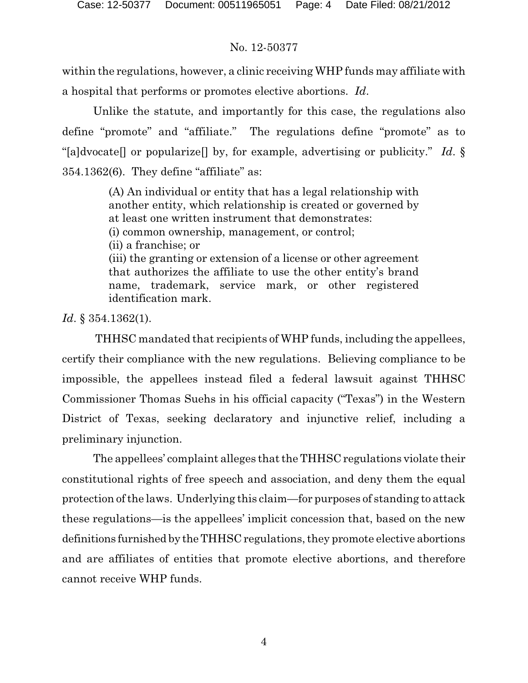within the regulations, however, a clinic receiving WHP funds may affiliate with a hospital that performs or promotes elective abortions. *Id*.

Unlike the statute, and importantly for this case, the regulations also define "promote" and "affiliate." The regulations define "promote" as to "[a]dvocate[] or popularize[] by, for example, advertising or publicity." *Id*. § 354.1362(6). They define "affiliate" as:

> (A) An individual or entity that has a legal relationship with another entity, which relationship is created or governed by at least one written instrument that demonstrates: (i) common ownership, management, or control; (ii) a franchise; or (iii) the granting or extension of a license or other agreement that authorizes the affiliate to use the other entity's brand name, trademark, service mark, or other registered identification mark.

*Id*. § 354.1362(1).

THHSC mandated that recipients of WHP funds, including the appellees, certify their compliance with the new regulations. Believing compliance to be impossible, the appellees instead filed a federal lawsuit against THHSC Commissioner Thomas Suehs in his official capacity ("Texas") in the Western District of Texas, seeking declaratory and injunctive relief, including a preliminary injunction.

The appellees' complaint alleges that the THHSC regulations violate their constitutional rights of free speech and association, and deny them the equal protection of the laws. Underlying this claim—for purposes of standing to attack these regulations—is the appellees' implicit concession that, based on the new definitions furnished by theTHHSC regulations, they promote elective abortions and are affiliates of entities that promote elective abortions, and therefore cannot receive WHP funds.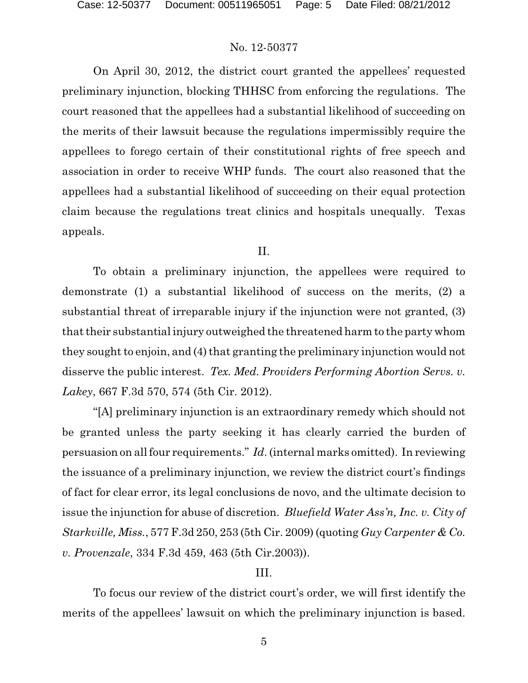On April 30, 2012, the district court granted the appellees' requested preliminary injunction, blocking THHSC from enforcing the regulations. The court reasoned that the appellees had a substantial likelihood of succeeding on the merits of their lawsuit because the regulations impermissibly require the appellees to forego certain of their constitutional rights of free speech and association in order to receive WHP funds. The court also reasoned that the appellees had a substantial likelihood of succeeding on their equal protection claim because the regulations treat clinics and hospitals unequally. Texas appeals.

### II.

To obtain a preliminary injunction, the appellees were required to demonstrate (1) a substantial likelihood of success on the merits, (2) a substantial threat of irreparable injury if the injunction were not granted, (3) that their substantial injury outweighed the threatened harm to the party whom they sought to enjoin, and (4) that granting the preliminary injunction would not disserve the public interest. *Tex. Med. Providers Performing Abortion Servs. v. Lakey*, 667 F.3d 570, 574 (5th Cir. 2012).

"[A] preliminary injunction is an extraordinary remedy which should not be granted unless the party seeking it has clearly carried the burden of persuasion on all four requirements." *Id*. (internal marks omitted). In reviewing the issuance of a preliminary injunction, we review the district court's findings of fact for clear error, its legal conclusions de novo, and the ultimate decision to issue the injunction for abuse of discretion. *Bluefield Water Ass'n, Inc. v. City of Starkville, Miss.*, 577 F.3d 250, 253 (5th Cir. 2009) (quoting *Guy Carpenter & Co. v. Provenzale*, 334 F.3d 459, 463 (5th Cir.2003)).

### III.

To focus our review of the district court's order, we will first identify the merits of the appellees' lawsuit on which the preliminary injunction is based.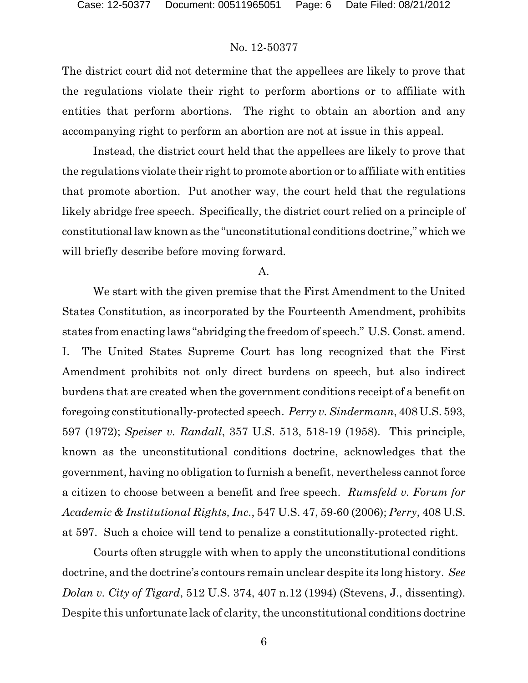The district court did not determine that the appellees are likely to prove that the regulations violate their right to perform abortions or to affiliate with entities that perform abortions. The right to obtain an abortion and any accompanying right to perform an abortion are not at issue in this appeal.

Instead, the district court held that the appellees are likely to prove that the regulations violate their right to promote abortion or to affiliate with entities that promote abortion. Put another way, the court held that the regulations likely abridge free speech. Specifically, the district court relied on a principle of constitutionallaw known as the "unconstitutional conditions doctrine," which we will briefly describe before moving forward.

#### A.

We start with the given premise that the First Amendment to the United States Constitution, as incorporated by the Fourteenth Amendment, prohibits states from enacting laws "abridging the freedom of speech." U.S. Const. amend. I. The United States Supreme Court has long recognized that the First Amendment prohibits not only direct burdens on speech, but also indirect burdens that are created when the government conditions receipt of a benefit on foregoing constitutionally-protected speech. *Perry v. Sindermann*, 408 U.S. 593, 597 (1972); *Speiser v. Randall*, 357 U.S. 513, 518-19 (1958). This principle, known as the unconstitutional conditions doctrine, acknowledges that the government, having no obligation to furnish a benefit, nevertheless cannot force a citizen to choose between a benefit and free speech. *Rumsfeld v. Forum for Academic & Institutional Rights, Inc.*, 547 U.S. 47, 59-60 (2006); *Perry*, 408 U.S. at 597. Such a choice will tend to penalize a constitutionally-protected right.

Courts often struggle with when to apply the unconstitutional conditions doctrine, and the doctrine's contours remain unclear despite its long history. *See Dolan v. City of Tigard*, 512 U.S. 374, 407 n.12 (1994) (Stevens, J., dissenting). Despite this unfortunate lack of clarity, the unconstitutional conditions doctrine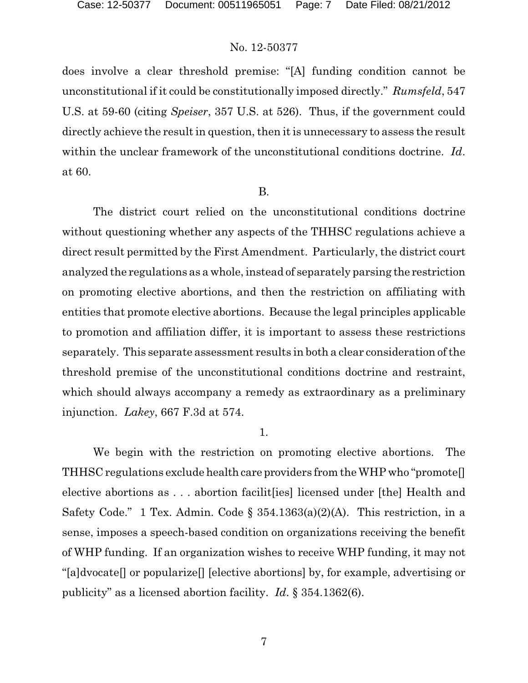does involve a clear threshold premise: "[A] funding condition cannot be unconstitutional if it could be constitutionally imposed directly." *Rumsfeld*, 547 U.S. at 59-60 (citing *Speiser*, 357 U.S. at 526). Thus, if the government could directly achieve the result in question, then it is unnecessary to assess the result within the unclear framework of the unconstitutional conditions doctrine. *Id*. at 60.

### B.

The district court relied on the unconstitutional conditions doctrine without questioning whether any aspects of the THHSC regulations achieve a direct result permitted by the First Amendment. Particularly, the district court analyzed the regulations as a whole, instead of separately parsing the restriction on promoting elective abortions, and then the restriction on affiliating with entities that promote elective abortions. Because the legal principles applicable to promotion and affiliation differ, it is important to assess these restrictions separately. This separate assessment results in both a clear consideration of the threshold premise of the unconstitutional conditions doctrine and restraint, which should always accompany a remedy as extraordinary as a preliminary injunction. *Lakey*, 667 F.3d at 574.

#### 1.

We begin with the restriction on promoting elective abortions. The THHSC regulations exclude health care providers from the WHP who "promote[] elective abortions as . . . abortion facilit[ies] licensed under [the] Health and Safety Code." 1 Tex. Admin. Code § 354.1363(a)(2)(A). This restriction, in a sense, imposes a speech-based condition on organizations receiving the benefit of WHP funding. If an organization wishes to receive WHP funding, it may not "[a]dvocate[] or popularize[] [elective abortions] by, for example, advertising or publicity" as a licensed abortion facility. *Id*. § 354.1362(6).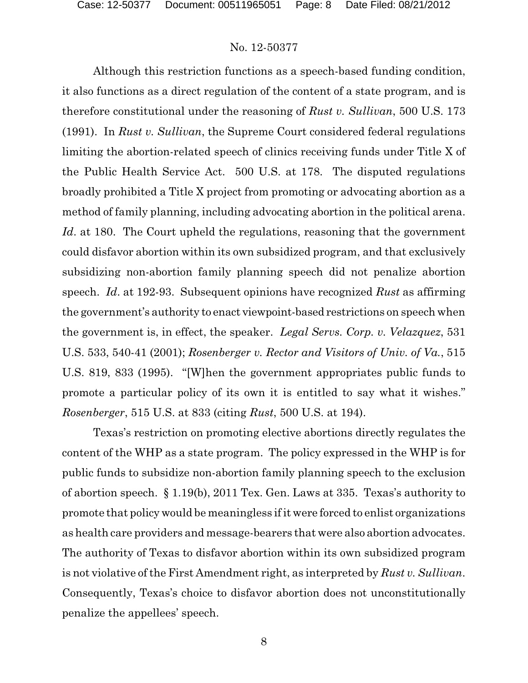Although this restriction functions as a speech-based funding condition, it also functions as a direct regulation of the content of a state program, and is therefore constitutional under the reasoning of *Rust v. Sullivan*, 500 U.S. 173 (1991). In *Rust v. Sullivan*, the Supreme Court considered federal regulations limiting the abortion-related speech of clinics receiving funds under Title X of the Public Health Service Act. 500 U.S. at 178. The disputed regulations broadly prohibited a Title X project from promoting or advocating abortion as a method of family planning, including advocating abortion in the political arena. *Id*. at 180. The Court upheld the regulations, reasoning that the government could disfavor abortion within its own subsidized program, and that exclusively subsidizing non-abortion family planning speech did not penalize abortion speech. *Id*. at 192-93. Subsequent opinions have recognized *Rust* as affirming the government's authority to enact viewpoint-based restrictions on speech when the government is, in effect, the speaker. *Legal Servs. Corp. v. Velazquez*, 531 U.S. 533, 540-41 (2001); *Rosenberger v. Rector and Visitors of Univ. of Va.*, 515 U.S. 819, 833 (1995). "[W]hen the government appropriates public funds to promote a particular policy of its own it is entitled to say what it wishes." *Rosenberger*, 515 U.S. at 833 (citing *Rust*, 500 U.S. at 194).

Texas's restriction on promoting elective abortions directly regulates the content of the WHP as a state program. The policy expressed in the WHP is for public funds to subsidize non-abortion family planning speech to the exclusion of abortion speech. § 1.19(b), 2011 Tex. Gen. Laws at 335. Texas's authority to promote that policy would be meaningless if it were forced to enlist organizations as health care providers and message-bearers that were also abortion advocates. The authority of Texas to disfavor abortion within its own subsidized program is not violative of the First Amendment right, as interpreted by *Rust v. Sullivan*. Consequently, Texas's choice to disfavor abortion does not unconstitutionally penalize the appellees' speech.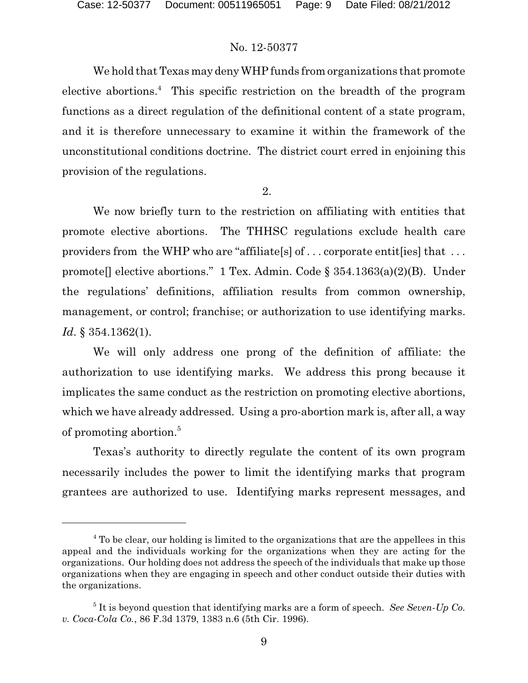We hold that Texas may deny WHP funds from organizations that promote elective abortions.<sup>4</sup> This specific restriction on the breadth of the program functions as a direct regulation of the definitional content of a state program, and it is therefore unnecessary to examine it within the framework of the unconstitutional conditions doctrine. The district court erred in enjoining this provision of the regulations.

2.

We now briefly turn to the restriction on affiliating with entities that promote elective abortions. The THHSC regulations exclude health care providers from the WHP who are "affiliate<sup>[s]</sup> of ... corporate entite lies] that ... promote [] elective abortions." 1 Tex. Admin. Code  $\S$  354.1363(a)(2)(B). Under the regulations' definitions, affiliation results from common ownership, management, or control; franchise; or authorization to use identifying marks. *Id*. § 354.1362(1).

We will only address one prong of the definition of affiliate: the authorization to use identifying marks. We address this prong because it implicates the same conduct as the restriction on promoting elective abortions, which we have already addressed. Using a pro-abortion mark is, after all, a way of promoting abortion.<sup>5</sup>

Texas's authority to directly regulate the content of its own program necessarily includes the power to limit the identifying marks that program grantees are authorized to use. Identifying marks represent messages, and

<sup>&</sup>lt;sup>4</sup> To be clear, our holding is limited to the organizations that are the appellees in this appeal and the individuals working for the organizations when they are acting for the organizations. Our holding does not address the speech of the individuals that make up those organizations when they are engaging in speech and other conduct outside their duties with the organizations.

 $^5$  It is beyond question that identifying marks are a form of speech. *See Seven-Up Co. v. Coca-Cola Co.*, 86 F.3d 1379, 1383 n.6 (5th Cir. 1996).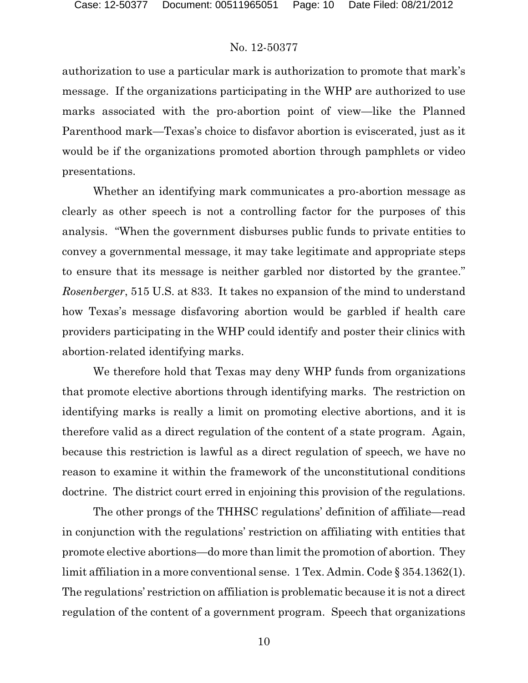authorization to use a particular mark is authorization to promote that mark's message. If the organizations participating in the WHP are authorized to use marks associated with the pro-abortion point of view—like the Planned Parenthood mark—Texas's choice to disfavor abortion is eviscerated, just as it would be if the organizations promoted abortion through pamphlets or video presentations.

Whether an identifying mark communicates a pro-abortion message as clearly as other speech is not a controlling factor for the purposes of this analysis. "When the government disburses public funds to private entities to convey a governmental message, it may take legitimate and appropriate steps to ensure that its message is neither garbled nor distorted by the grantee." *Rosenberger*, 515 U.S. at 833. It takes no expansion of the mind to understand how Texas's message disfavoring abortion would be garbled if health care providers participating in the WHP could identify and poster their clinics with abortion-related identifying marks.

We therefore hold that Texas may deny WHP funds from organizations that promote elective abortions through identifying marks. The restriction on identifying marks is really a limit on promoting elective abortions, and it is therefore valid as a direct regulation of the content of a state program. Again, because this restriction is lawful as a direct regulation of speech, we have no reason to examine it within the framework of the unconstitutional conditions doctrine. The district court erred in enjoining this provision of the regulations.

The other prongs of the THHSC regulations' definition of affiliate—read in conjunction with the regulations' restriction on affiliating with entities that promote elective abortions—do more than limit the promotion of abortion. They limit affiliation in a more conventional sense. 1 Tex. Admin. Code § 354.1362(1). The regulations' restriction on affiliation is problematic because it is not a direct regulation of the content of a government program. Speech that organizations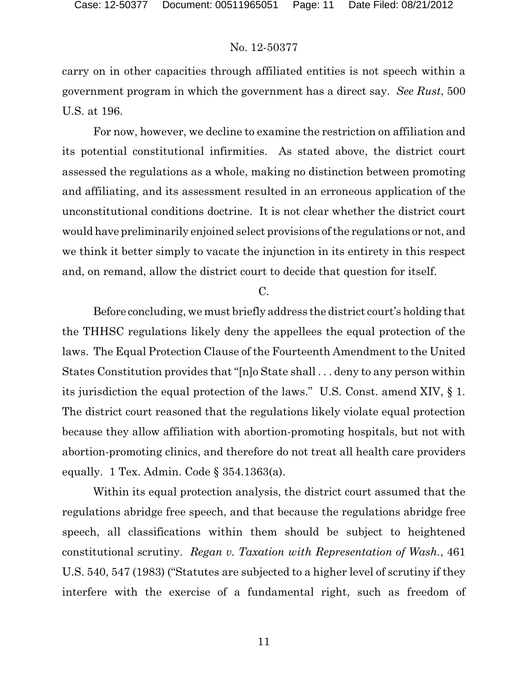carry on in other capacities through affiliated entities is not speech within a government program in which the government has a direct say. *See Rust*, 500 U.S. at 196.

For now, however, we decline to examine the restriction on affiliation and its potential constitutional infirmities. As stated above, the district court assessed the regulations as a whole, making no distinction between promoting and affiliating, and its assessment resulted in an erroneous application of the unconstitutional conditions doctrine. It is not clear whether the district court would have preliminarily enjoined select provisions of the regulations or not, and we think it better simply to vacate the injunction in its entirety in this respect and, on remand, allow the district court to decide that question for itself.

### C.

Before concluding, we must briefly address the district court's holding that the THHSC regulations likely deny the appellees the equal protection of the laws. The Equal Protection Clause of the Fourteenth Amendment to the United States Constitution provides that "[n]o State shall . . . deny to any person within its jurisdiction the equal protection of the laws." U.S. Const. amend XIV, § 1. The district court reasoned that the regulations likely violate equal protection because they allow affiliation with abortion-promoting hospitals, but not with abortion-promoting clinics, and therefore do not treat all health care providers equally. 1 Tex. Admin. Code  $\S$  354.1363(a).

Within its equal protection analysis, the district court assumed that the regulations abridge free speech, and that because the regulations abridge free speech, all classifications within them should be subject to heightened constitutional scrutiny. *Regan v. Taxation with Representation of Wash.*, 461 U.S. 540, 547 (1983) ("Statutes are subjected to a higher level of scrutiny if they interfere with the exercise of a fundamental right, such as freedom of

11